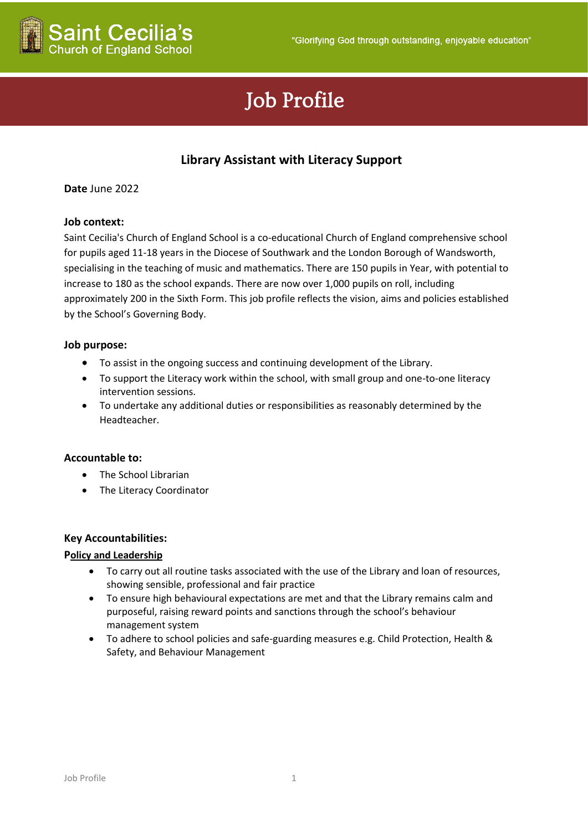

# Job Profile

# **Library Assistant with Literacy Support**

# **Date** June 2022

# **Job context:**

Saint Cecilia's Church of England School is a co-educational Church of England comprehensive school for pupils aged 11-18 years in the Diocese of Southwark and the London Borough of Wandsworth, specialising in the teaching of music and mathematics. There are 150 pupils in Year, with potential to increase to 180 as the school expands. There are now over 1,000 pupils on roll, including approximately 200 in the Sixth Form. This job profile reflects the vision, aims and policies established by the School's Governing Body.

# **Job purpose:**

- To assist in the ongoing success and continuing development of the Library.
- To support the Literacy work within the school, with small group and one-to-one literacy intervention sessions.
- To undertake any additional duties or responsibilities as reasonably determined by the Headteacher.

#### **Accountable to:**

- The School Librarian
- The Literacy Coordinator

#### **Key Accountabilities:**

#### **Policy and Leadership**

- To carry out all routine tasks associated with the use of the Library and loan of resources, showing sensible, professional and fair practice
- To ensure high behavioural expectations are met and that the Library remains calm and purposeful, raising reward points and sanctions through the school's behaviour management system
- To adhere to school policies and safe-guarding measures e.g. Child Protection, Health & Safety, and Behaviour Management